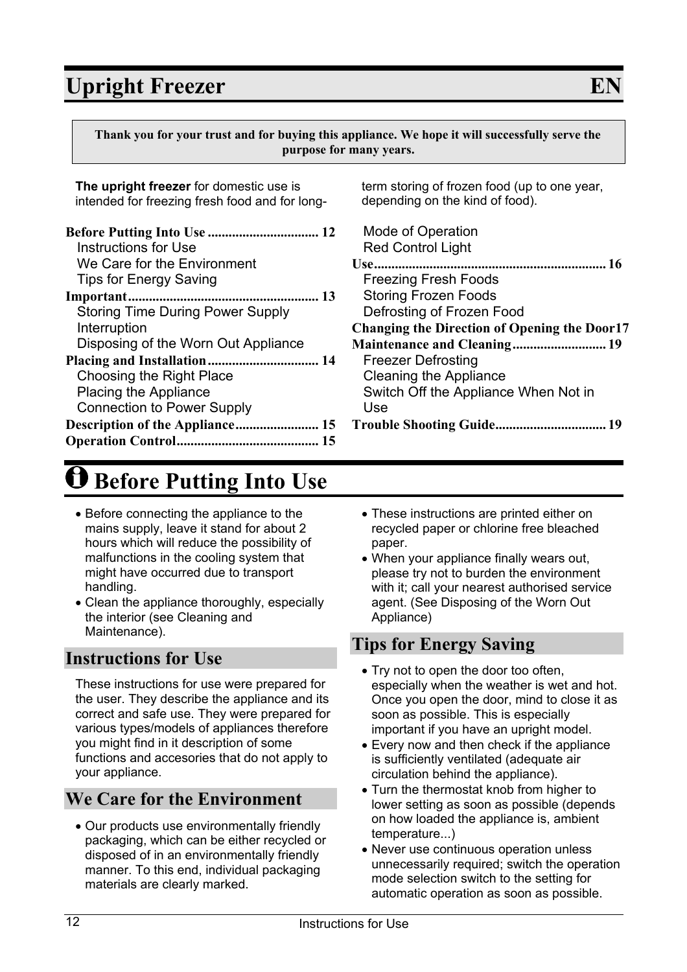**Thank you for your trust and for buying this appliance. We hope it will successfully serve the purpose for many years.**

**The upright freezer** for domestic use is intended for freezing fresh food and for long-

| <b>Instructions for Use</b>             |
|-----------------------------------------|
| We Care for the Environment             |
| <b>Tips for Energy Saving</b>           |
|                                         |
| <b>Storing Time During Power Supply</b> |
| Interruption                            |
| Disposing of the Worn Out Appliance     |
|                                         |
| Choosing the Right Place                |
| <b>Placing the Appliance</b>            |
| <b>Connection to Power Supply</b>       |
|                                         |
|                                         |

# **Before Putting Into Use**

- Before connecting the appliance to the mains supply, leave it stand for about 2 hours which will reduce the possibility of malfunctions in the cooling system that might have occurred due to transport handling.
- Clean the appliance thoroughly, especially the interior (see Cleaning and Maintenance).

### **Instructions for Use**

These instructions for use were prepared for the user. They describe the appliance and its correct and safe use. They were prepared for various types/models of appliances therefore you might find in it description of some functions and accesories that do not apply to your appliance.

## **We Care for the Environment**

Our products use environmentally friendly packaging, which can be either recycled or disposed of in an environmentally friendly manner. To this end, individual packaging materials are clearly marked.

term storing of frozen food (up to one year, depending on the kind of food).

- Mode of Operation Red Control Light **Use................................................................... 16** Freezing Fresh Foods Storing Frozen Foods Defrosting of Frozen Food **Changing the Direction of Opening the Door17 Maintenance and Cleaning........................... 19** Freezer Defrosting Cleaning the Appliance Switch Off the Appliance When Not in Use **Trouble Shooting Guide................................ 19**
	- These instructions are printed either on recycled paper or chlorine free bleached paper.
	- When your appliance finally wears out, please try not to burden the environment with it; call your nearest authorised service agent. (See Disposing of the Worn Out Appliance)

### **Tips for Energy Saving**

- Try not to open the door too often, especially when the weather is wet and hot. Once you open the door, mind to close it as soon as possible. This is especially important if you have an upright model.
- Every now and then check if the appliance is sufficiently ventilated (adequate air circulation behind the appliance).
- Turn the thermostat knob from higher to lower setting as soon as possible (depends on how loaded the appliance is, ambient temperature...)
- Never use continuous operation unless unnecessarily required; switch the operation mode selection switch to the setting for automatic operation as soon as possible.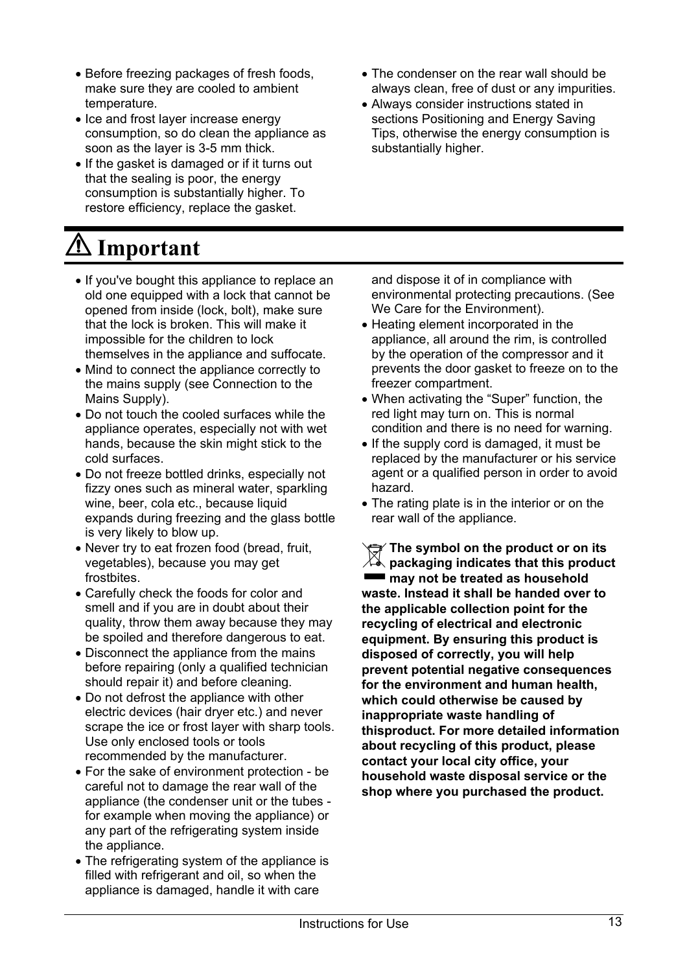- Before freezing packages of fresh foods, make sure they are cooled to ambient temperature.
- Ice and frost layer increase energy consumption, so do clean the appliance as soon as the layer is 3-5 mm thick.
- If the gasket is damaged or if it turns out that the sealing is poor, the energy consumption is substantially higher. To restore efficiency, replace the gasket.

# **Important**

- If you've bought this appliance to replace an old one equipped with a lock that cannot be opened from inside (lock, bolt), make sure that the lock is broken. This will make it impossible for the children to lock themselves in the appliance and suffocate.
- Mind to connect the appliance correctly to the mains supply (see Connection to the Mains Supply).
- Do not touch the cooled surfaces while the appliance operates, especially not with wet hands, because the skin might stick to the cold surfaces.
- Do not freeze bottled drinks, especially not fizzy ones such as mineral water, sparkling wine, beer, cola etc., because liquid expands during freezing and the glass bottle is very likely to blow up.
- Never try to eat frozen food (bread, fruit, vegetables), because you may get frostbites.
- Carefully check the foods for color and smell and if you are in doubt about their quality, throw them away because they may be spoiled and therefore dangerous to eat.
- Disconnect the appliance from the mains before repairing (only a qualified technician should repair it) and before cleaning.
- Do not defrost the appliance with other electric devices (hair dryer etc.) and never scrape the ice or frost layer with sharp tools. Use only enclosed tools or tools recommended by the manufacturer.
- For the sake of environment protection be careful not to damage the rear wall of the appliance (the condenser unit or the tubes for example when moving the appliance) or any part of the refrigerating system inside the appliance.
- The refrigerating system of the appliance is filled with refrigerant and oil, so when the appliance is damaged, handle it with care
- The condenser on the rear wall should be always clean, free of dust or any impurities.
- Always consider instructions stated in sections Positioning and Energy Saving Tips, otherwise the energy consumption is substantially higher.

and dispose it of in compliance with environmental protecting precautions. (See We Care for the Environment).

- Heating element incorporated in the appliance, all around the rim, is controlled by the operation of the compressor and it prevents the door gasket to freeze on to the freezer compartment.
- When activating the "Super" function, the red light may turn on. This is normal condition and there is no need for warning.
- If the supply cord is damaged, it must be replaced by the manufacturer or his service agent or a qualified person in order to avoid hazard.
- The rating plate is in the interior or on the rear wall of the appliance.

**The symbol on the product or on its packaging indicates that this product may not be treated as household waste. Instead it shall be handed over to the applicable collection point for the recycling of electrical and electronic equipment. By ensuring this product is disposed of correctly, you will help prevent potential negative consequences for the environment and human health, which could otherwise be caused by inappropriate waste handling of thisproduct. For more detailed information about recycling of this product, please contact your local city office, your household waste disposal service or the shop where you purchased the product.**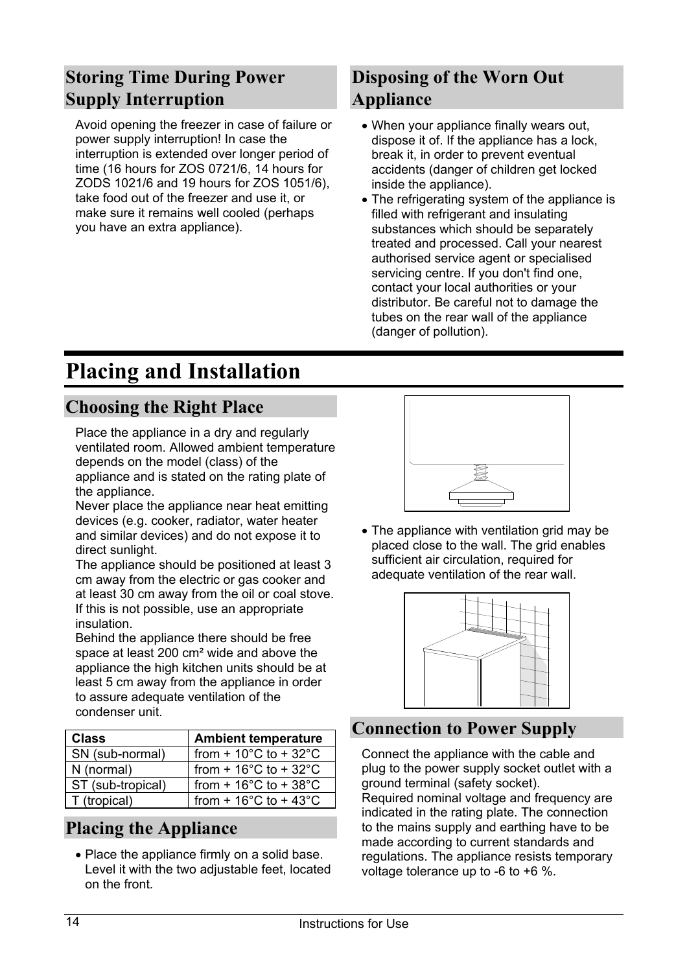## **Storing Time During Power Supply Interruption**

Avoid opening the freezer in case of failure or power supply interruption! In case the interruption is extended over longer period of time (16 hours for ZOS 0721/6, 14 hours for ZODS 1021/6 and 19 hours for ZOS 1051/6), take food out of the freezer and use it, or make sure it remains well cooled (perhaps you have an extra appliance).

## **Disposing of the Worn Out Appliance**

- When your appliance finally wears out, dispose it of. If the appliance has a lock, break it, in order to prevent eventual accidents (danger of children get locked inside the appliance).
- The refrigerating system of the appliance is filled with refrigerant and insulating substances which should be separately treated and processed. Call your nearest authorised service agent or specialised servicing centre. If you don't find one, contact your local authorities or your distributor. Be careful not to damage the tubes on the rear wall of the appliance (danger of pollution).

## **Placing and Installation**

## **Choosing the Right Place**

Place the appliance in a dry and regularly ventilated room. Allowed ambient temperature depends on the model (class) of the appliance and is stated on the rating plate of the appliance.

Never place the appliance near heat emitting devices (e.g. cooker, radiator, water heater and similar devices) and do not expose it to direct sunlight.

The appliance should be positioned at least 3 cm away from the electric or gas cooker and at least 30 cm away from the oil or coal stove. If this is not possible, use an appropriate insulation.

Behind the appliance there should be free space at least 200 cm² wide and above the appliance the high kitchen units should be at least 5 cm away from the appliance in order to assure adequate ventilation of the condenser unit.

| <b>Class</b>      | <b>Ambient temperature</b>                |  |  |  |  |  |  |
|-------------------|-------------------------------------------|--|--|--|--|--|--|
| SN (sub-normal)   | from + $10^{\circ}$ C to + $32^{\circ}$ C |  |  |  |  |  |  |
| N (normal)        | from + $16^{\circ}$ C to + $32^{\circ}$ C |  |  |  |  |  |  |
| ST (sub-tropical) | from $+16^{\circ}$ C to $+38^{\circ}$ C   |  |  |  |  |  |  |
| T (tropical)      | from + $16^{\circ}$ C to + $43^{\circ}$ C |  |  |  |  |  |  |

## **Placing the Appliance**

• Place the appliance firmly on a solid base. Level it with the two adjustable feet, located on the front.



• The appliance with ventilation grid may be placed close to the wall. The grid enables sufficient air circulation, required for adequate ventilation of the rear wall.



## **Connection to Power Supply**

Connect the appliance with the cable and plug to the power supply socket outlet with a ground terminal (safety socket).

Required nominal voltage and frequency are indicated in the rating plate. The connection to the mains supply and earthing have to be made according to current standards and regulations. The appliance resists temporary voltage tolerance up to -6 to +6 %.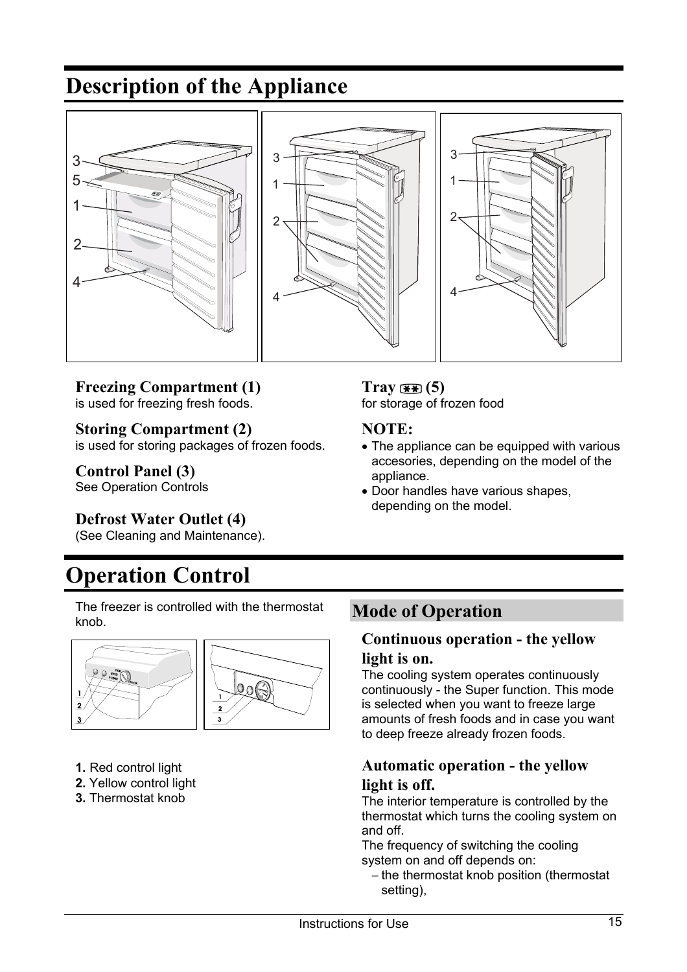## **Description of the Appliance**



#### **Freezing Compartment (1)** is used for freezing fresh foods.

**Storing Compartment (2)**

is used for storing packages of frozen foods.

**Control Panel (3)** See Operation Controls

#### **Defrost Water Outlet (4)**

(See Cleaning and Maintenance).

## **Operation Control**

The freezer is controlled with the thermostat knob.



- **1.** Red control light
- **2.** Yellow control light
- **3.** Thermostat knob

#### **Tray (5)**

for storage of frozen food

#### **NOTE:**

- The appliance can be equipped with various accesories, depending on the model of the appliance.
- Door handles have various shapes, depending on the model.

### **Mode of Operation**

#### **Continuous operation - the yellow light is on.**

The cooling system operates continuously continuously - the Super function. This mode is selected when you want to freeze large amounts of fresh foods and in case you want to deep freeze already frozen foods.

#### **Automatic operation - the yellow light is off.**

The interior temperature is controlled by the thermostat which turns the cooling system on and off.

The frequency of switching the cooling system on and off depends on:

- the thermostat knob position (thermostat setting),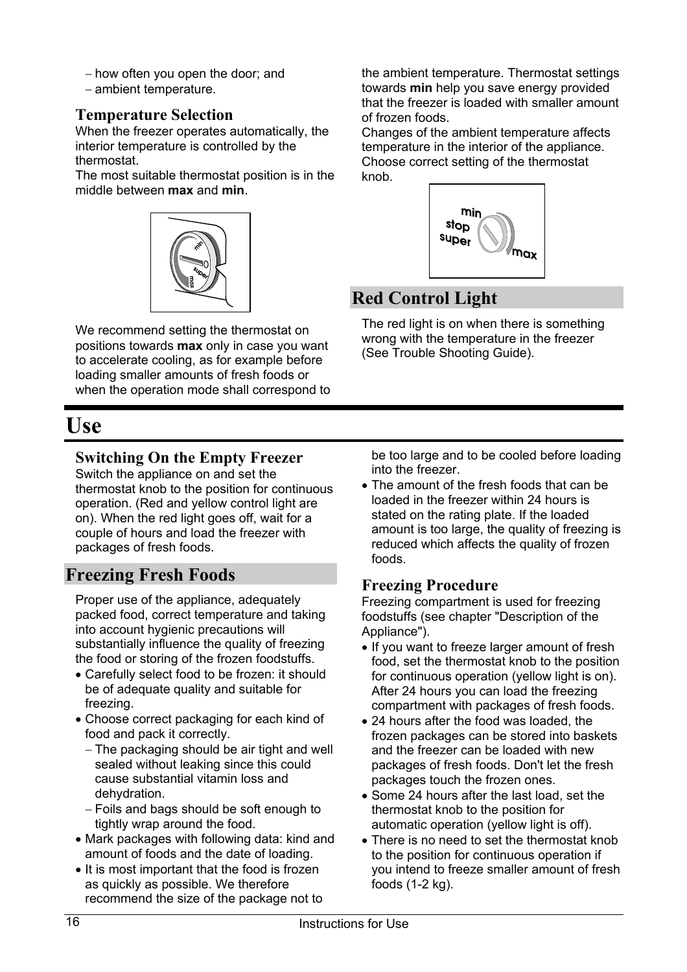- how often you open the door; and
- ambient temperature.

#### **Temperature Selection**

When the freezer operates automatically, the interior temperature is controlled by the thermostat.

The most suitable thermostat position is in the middle between **max** and **min**.



We recommend setting the thermostat on positions towards **max** only in case you want to accelerate cooling, as for example before loading smaller amounts of fresh foods or when the operation mode shall correspond to

## **Use**

### **Switching On the Empty Freezer**

Switch the appliance on and set the thermostat knob to the position for continuous operation. (Red and yellow control light are on). When the red light goes off, wait for a couple of hours and load the freezer with packages of fresh foods.

### **Freezing Fresh Foods**

Proper use of the appliance, adequately packed food, correct temperature and taking into account hygienic precautions will substantially influence the quality of freezing the food or storing of the frozen foodstuffs.

- Carefully select food to be frozen: it should be of adequate quality and suitable for freezing.
- Choose correct packaging for each kind of food and pack it correctly.
	- The packaging should be air tight and well sealed without leaking since this could cause substantial vitamin loss and dehydration.
	- Foils and bags should be soft enough to tightly wrap around the food.
- Mark packages with following data: kind and amount of foods and the date of loading.
- It is most important that the food is frozen as quickly as possible. We therefore recommend the size of the package not to

the ambient temperature. Thermostat settings towards **min** help you save energy provided that the freezer is loaded with smaller amount of frozen foods.

Changes of the ambient temperature affects temperature in the interior of the appliance. Choose correct setting of the thermostat knob.



## **Red Control Light**

The red light is on when there is something wrong with the temperature in the freezer (See Trouble Shooting Guide).

be too large and to be cooled before loading into the freezer.

• The amount of the fresh foods that can be loaded in the freezer within 24 hours is stated on the rating plate. If the loaded amount is too large, the quality of freezing is reduced which affects the quality of frozen foods.

#### **Freezing Procedure**

Freezing compartment is used for freezing foodstuffs (see chapter "Description of the Appliance").

- If you want to freeze larger amount of fresh food, set the thermostat knob to the position for continuous operation (yellow light is on). After 24 hours you can load the freezing compartment with packages of fresh foods.
- 24 hours after the food was loaded, the frozen packages can be stored into baskets and the freezer can be loaded with new packages of fresh foods. Don't let the fresh packages touch the frozen ones.
- Some 24 hours after the last load, set the thermostat knob to the position for automatic operation (yellow light is off).
- There is no need to set the thermostat knob to the position for continuous operation if you intend to freeze smaller amount of fresh foods (1-2 kg).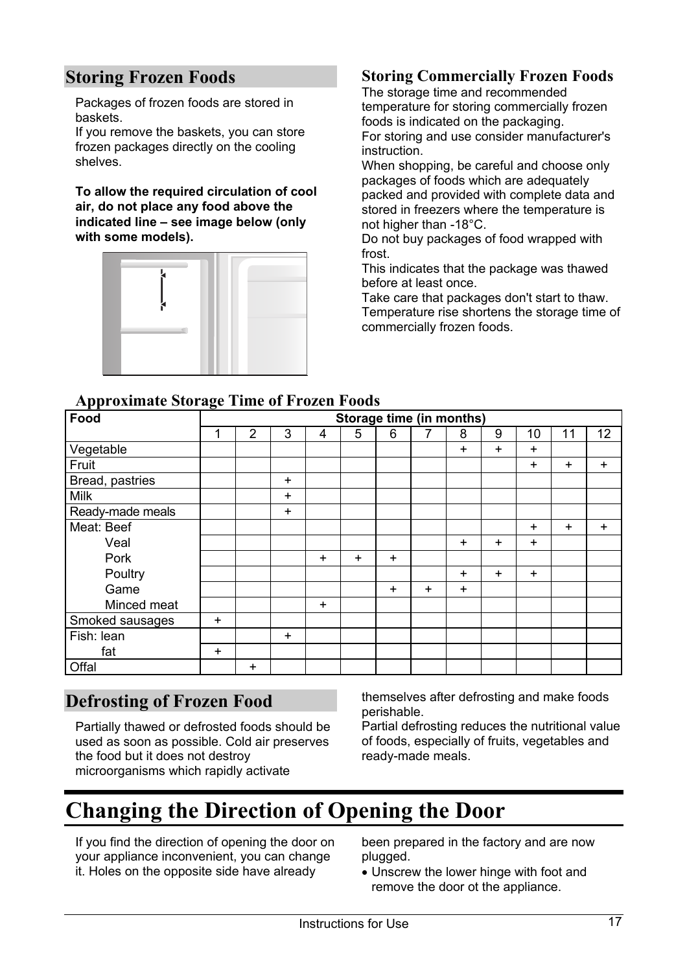## **Storing Frozen Foods**

Packages of frozen foods are stored in baskets.

If you remove the baskets, you can store frozen packages directly on the cooling shelves.

**To allow the required circulation of cool air, do not place any food above the indicated line – see image below (only with some models).**



#### **Storing Commercially Frozen Foods**

The storage time and recommended temperature for storing commercially frozen foods is indicated on the packaging. For storing and use consider manufacturer's instruction.

When shopping, be careful and choose only packages of foods which are adequately packed and provided with complete data and stored in freezers where the temperature is not higher than -18°C.

Do not buy packages of food wrapped with frost.

This indicates that the package was thawed before at least once.

Take care that packages don't start to thaw. Temperature rise shortens the storage time of commercially frozen foods.

|  |  | <b>Approximate Storage Time of Frozen Foods</b> |  |
|--|--|-------------------------------------------------|--|
|  |  |                                                 |  |

| Food             | ິ<br><b>Storage time (in months)</b> |                |           |           |           |           |           |           |           |           |           |           |
|------------------|--------------------------------------|----------------|-----------|-----------|-----------|-----------|-----------|-----------|-----------|-----------|-----------|-----------|
|                  | 1                                    | $\overline{2}$ | 3         | 4         | 5         | 6         | 7         | 8         | 9         | 10        | 11        | 12        |
| Vegetable        |                                      |                |           |           |           |           |           | $\ddot{}$ | $\ddot{}$ | $\ddot{}$ |           |           |
| Fruit            |                                      |                |           |           |           |           |           |           |           | $\ddot{}$ | $\ddot{}$ | $\ddot{}$ |
| Bread, pastries  |                                      |                | $\ddot{}$ |           |           |           |           |           |           |           |           |           |
| <b>Milk</b>      |                                      |                | $\ddot{}$ |           |           |           |           |           |           |           |           |           |
| Ready-made meals |                                      |                | $\ddot{}$ |           |           |           |           |           |           |           |           |           |
| Meat: Beef       |                                      |                |           |           |           |           |           |           |           | $\ddot{}$ | $\ddot{}$ | $\ddot{}$ |
| Veal             |                                      |                |           |           |           |           |           | $\ddot{}$ | $\ddot{}$ | $\ddot{}$ |           |           |
| Pork             |                                      |                |           | $\ddot{}$ | $\ddot{}$ | $\ddot{}$ |           |           |           |           |           |           |
| Poultry          |                                      |                |           |           |           |           |           | $\ddot{}$ | $+$       | $+$       |           |           |
| Game             |                                      |                |           |           |           | $\ddot{}$ | $\ddot{}$ | $\ddot{}$ |           |           |           |           |
| Minced meat      |                                      |                |           | $\ddot{}$ |           |           |           |           |           |           |           |           |
| Smoked sausages  | $\ddot{}$                            |                |           |           |           |           |           |           |           |           |           |           |
| Fish: lean       |                                      |                | $\ddot{}$ |           |           |           |           |           |           |           |           |           |
| fat              | $\ddot{}$                            |                |           |           |           |           |           |           |           |           |           |           |
| Offal            |                                      | $\ddot{}$      |           |           |           |           |           |           |           |           |           |           |

#### **Defrosting of Frozen Food**

Partially thawed or defrosted foods should be used as soon as possible. Cold air preserves the food but it does not destroy microorganisms which rapidly activate

themselves after defrosting and make foods perishable.

Partial defrosting reduces the nutritional value of foods, especially of fruits, vegetables and ready-made meals.

## **Changing the Direction of Opening the Door**

If you find the direction of opening the door on your appliance inconvenient, you can change it. Holes on the opposite side have already

been prepared in the factory and are now plugged.

Unscrew the lower hinge with foot and remove the door ot the appliance.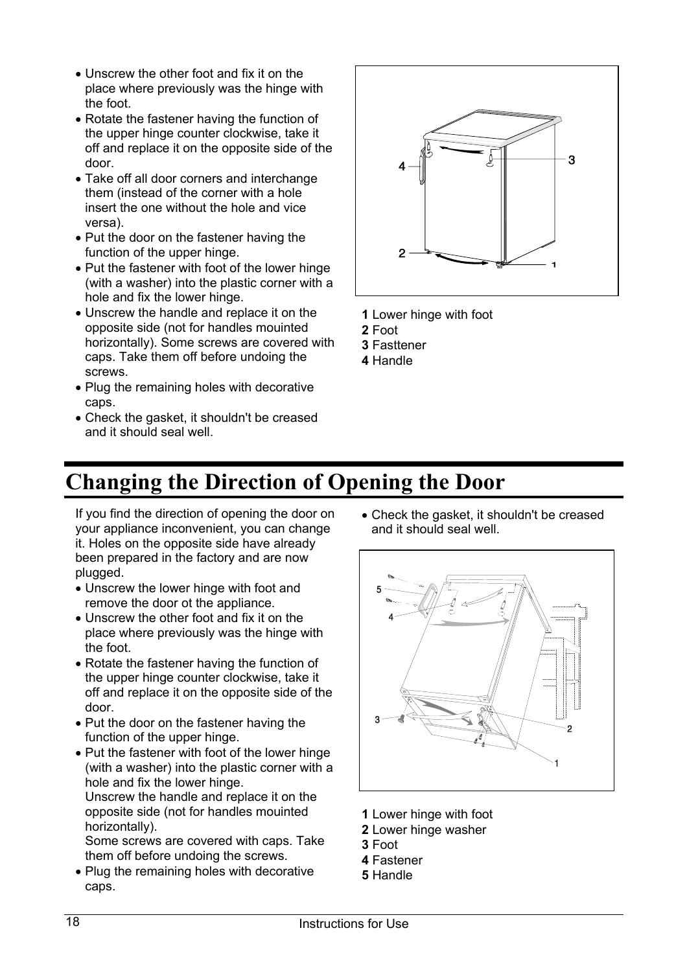- Unscrew the other foot and fix it on the place where previously was the hinge with the foot.
- Rotate the fastener having the function of the upper hinge counter clockwise, take it off and replace it on the opposite side of the door.
- Take off all door corners and interchange them (instead of the corner with a hole insert the one without the hole and vice versa).
- Put the door on the fastener having the function of the upper hinge.
- Put the fastener with foot of the lower hinge (with a washer) into the plastic corner with a hole and fix the lower hinge.
- Unscrew the handle and replace it on the opposite side (not for handles mouinted horizontally). Some screws are covered with caps. Take them off before undoing the screws.
- Plug the remaining holes with decorative caps.
- Check the gasket, it shouldn't be creased and it should seal well.



- **1** Lower hinge with foot
- **2** Foot
- **3** Fasttener
- **4** Handle

## **Changing the Direction of Opening the Door**

If you find the direction of opening the door on your appliance inconvenient, you can change it. Holes on the opposite side have already been prepared in the factory and are now plugged.

- Unscrew the lower hinge with foot and remove the door ot the appliance.
- Unscrew the other foot and fix it on the place where previously was the hinge with the foot.
- Rotate the fastener having the function of the upper hinge counter clockwise, take it off and replace it on the opposite side of the door.
- Put the door on the fastener having the function of the upper hinge.
- Put the fastener with foot of the lower hinge (with a washer) into the plastic corner with a hole and fix the lower hinge. Unscrew the handle and replace it on the opposite side (not for handles mouinted horizontally).

Some screws are covered with caps. Take them off before undoing the screws.

• Plug the remaining holes with decorative caps.

Check the gasket, it shouldn't be creased and it should seal well.



- **1** Lower hinge with foot
- **2** Lower hinge washer
- **3** Foot
- **4** Fastener
- **5** Handle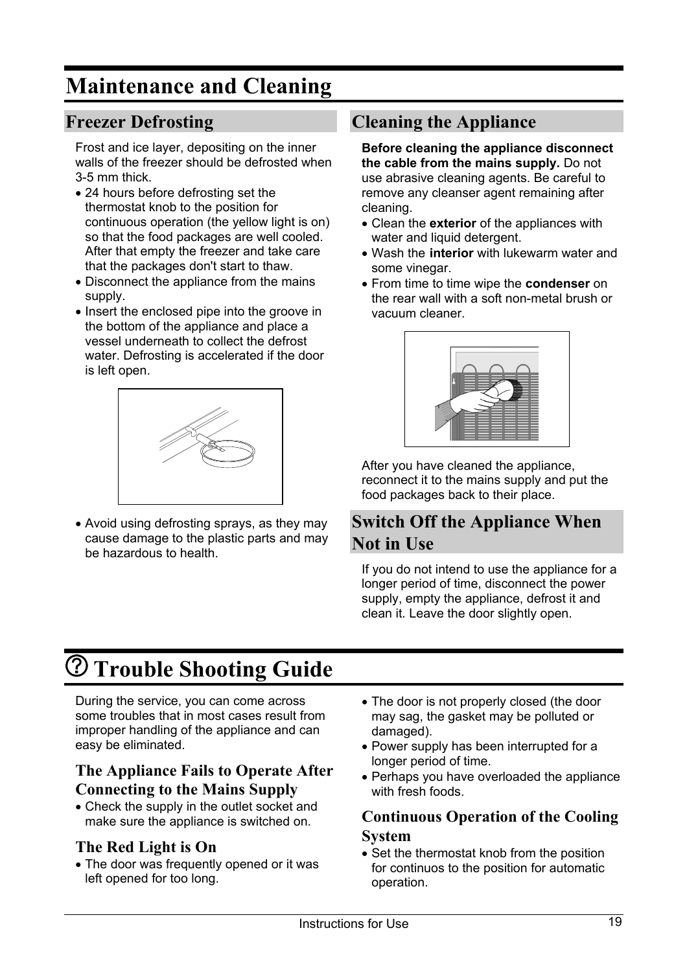## **Maintenance and Cleaning**

### **Freezer Defrosting**

Frost and ice layer, depositing on the inner walls of the freezer should be defrosted when 3-5 mm thick.

- 24 hours before defrosting set the thermostat knob to the position for continuous operation (the yellow light is on) so that the food packages are well cooled. After that empty the freezer and take care that the packages don't start to thaw.
- Disconnect the appliance from the mains supply.
- Insert the enclosed pipe into the groove in the bottom of the appliance and place a vessel underneath to collect the defrost water. Defrosting is accelerated if the door is left open.



Avoid using defrosting sprays, as they may cause damage to the plastic parts and may be hazardous to health.

## **Cleaning the Appliance**

**Before cleaning the appliance disconnect the cable from the mains supply.** Do not use abrasive cleaning agents. Be careful to remove any cleanser agent remaining after cleaning.

- Clean the **exterior** of the appliances with water and liquid detergent.
- Wash the **interior** with lukewarm water and some vinegar.
- From time to time wipe the **condenser** on the rear wall with a soft non-metal brush or vacuum cleaner.



After you have cleaned the appliance, reconnect it to the mains supply and put the food packages back to their place.

### **Switch Off the Appliance When Not in Use**

If you do not intend to use the appliance for a longer period of time, disconnect the power supply, empty the appliance, defrost it and clean it. Leave the door slightly open.

## **Trouble Shooting Guide**

During the service, you can come across some troubles that in most cases result from improper handling of the appliance and can easy be eliminated.

#### **The Appliance Fails to Operate After Connecting to the Mains Supply**

Check the supply in the outlet socket and make sure the appliance is switched on.

#### **The Red Light is On**

The door was frequently opened or it was left opened for too long.

- The door is not properly closed (the door may sag, the gasket may be polluted or damaged).
- Power supply has been interrupted for a longer period of time.
- Perhaps you have overloaded the appliance with fresh foods.

#### **Continuous Operation of the Cooling System**

• Set the thermostat knob from the position for continuos to the position for automatic operation.